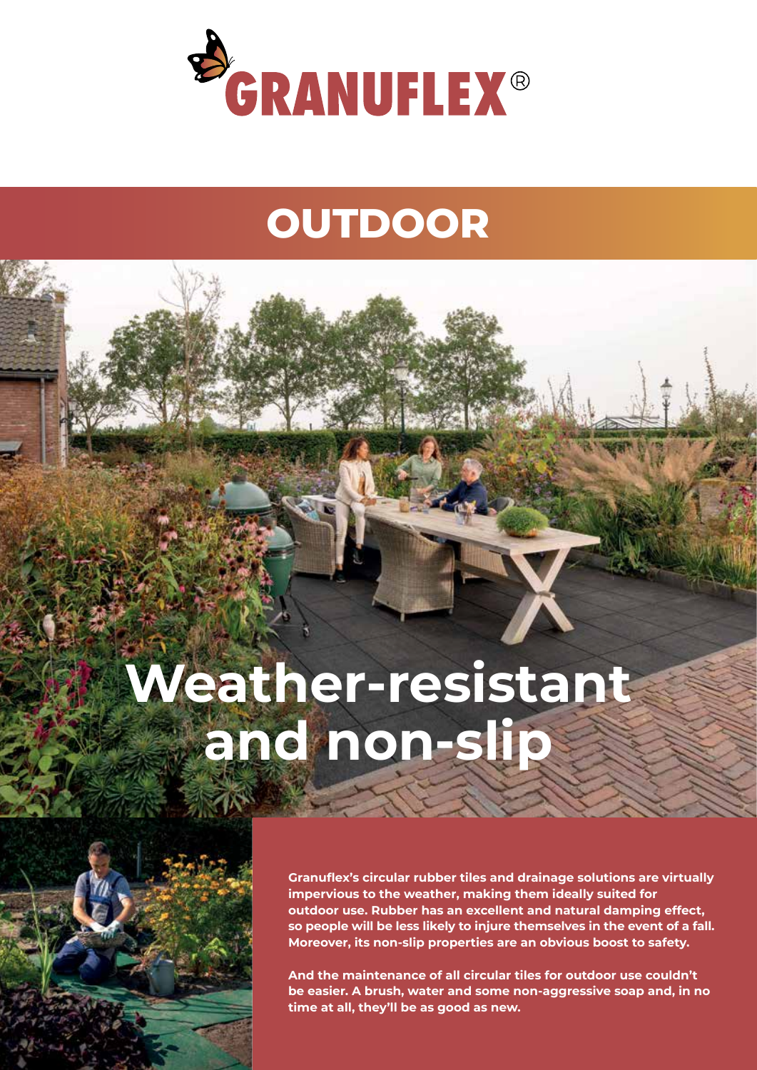

## **OUTDOOR**

# **Weather-resistant and non-slip**



**Granuflex's circular rubber tiles and drainage solutions are virtually impervious to the weather, making them ideally suited for outdoor use. Rubber has an excellent and natural damping effect, so people will be less likely to injure themselves in the event of a fall. Moreover, its non-slip properties are an obvious boost to safety.**

**And the maintenance of all circular tiles for outdoor use couldn't be easier. A brush, water and some non-aggressive soap and, in no time at all, they'll be as good as new.**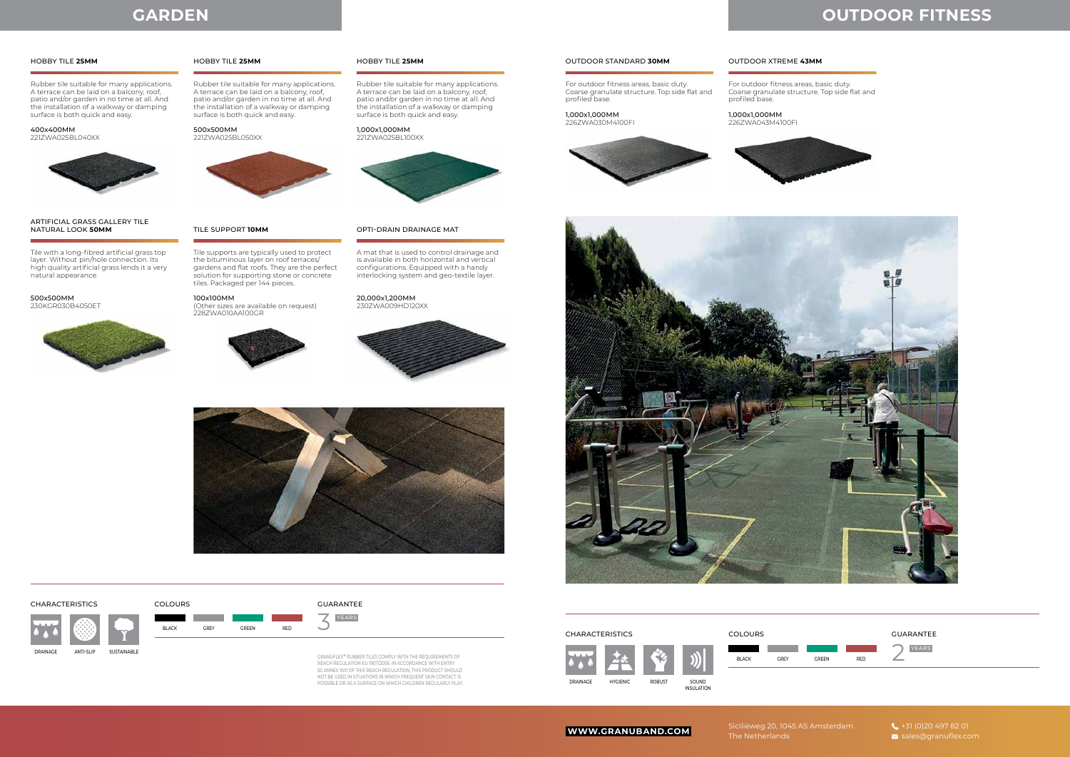Siciliëweg 20, 1045 AS Amsterdam The Netherlands

Rubber tile suitable for many applications. A terrace can be laid on a balcony, roof, patio and/or garden in no time at all. And the installation of a walkway or damping surface is both quick and easy.

Tile with a long-fibred artificial grass top layer. Without pin/hole connection. Its high quality artificial grass lends it a very natural appearance.

Rubber tile suitable for many applications. A terrace can be laid on a balcony, roof, patio and/or garden in no time at all. And the installation of a walkway or damping surface is both quick and easy.

Tile supports are typically used to protect the bituminous layer on roof terraces/ gardens and flat roofs. They are the perfect solution for supporting stone or concrete tiles. Packaged per 144 pieces.

> GRANUFLEX® RUBBER TILES COMPLY WITH THE REQUIREMENTS OF<br>REACH REGULATION EU 1907/2006. IN ACCORDANCE WITH ENTRY<br>50 ANNEX XVII OF THIS REACH REGULATION, THIS PRODUCT SHOULD NOT BE USED IN SITUATIONS IN WHICH FREQUENT SKIN CONTACT IS POSSIBLE OR AS A SURFACE ON WHICH CHILDREN REGULARLY PLAY.

Rubber tile suitable for many applications. A terrace can be laid on a balcony, roof, patio and/or garden in no time at all. And the installation of a walkway or damping surface is both quick and easy.

A mat that is used to control drainage and is available in both horizontal and vertical configurations. Equipped with a handy interlocking system and geo-textile layer.

#### 400x400MM 221ZWA025BL040XX



500x500MM 230KGR030B4050ET



500x500MM 221ZWA025BL050XX



100x100MM (Other sizes are available on request) 228ZWA010AA100GR



1,000x1,000MM 221ZWA025BL100XX



20,000x1,200MM 230ZWA009HD120XX





#### HOBBY TILE **25MM**

ARTIFICIAL GRASS GALLERY TILE NATURAL LOOK **50MM**

### HOBBY TILE **25MM**

### TILE SUPPORT **10MM**

#### HOBBY TILE **25MM**

#### OPTI-DRAIN DRAINAGE MAT

DRAINAGE

## **GARDEN**

3

ANTI-SLIP SUSTAINABLE

## **OUTDOOR FITNESS**

For outdoor fitness areas, basic duty. Coarse granulate structure. Top side flat and profiled base.

For outdoor fitness areas, basic duty. profiled base.

Coarse granulate structure. Top side flat and



1,000x1,000MM 226ZWA030M4100FI



1,000x1,000MM 226ZWA043M4100FI





#### OUTDOOR STANDARD **30MM** OUTDOOR XTREME **43MM**



COLOURS



GUARANTEE

GUARANTEE

YEARS



BLACK GREY GREEN



RED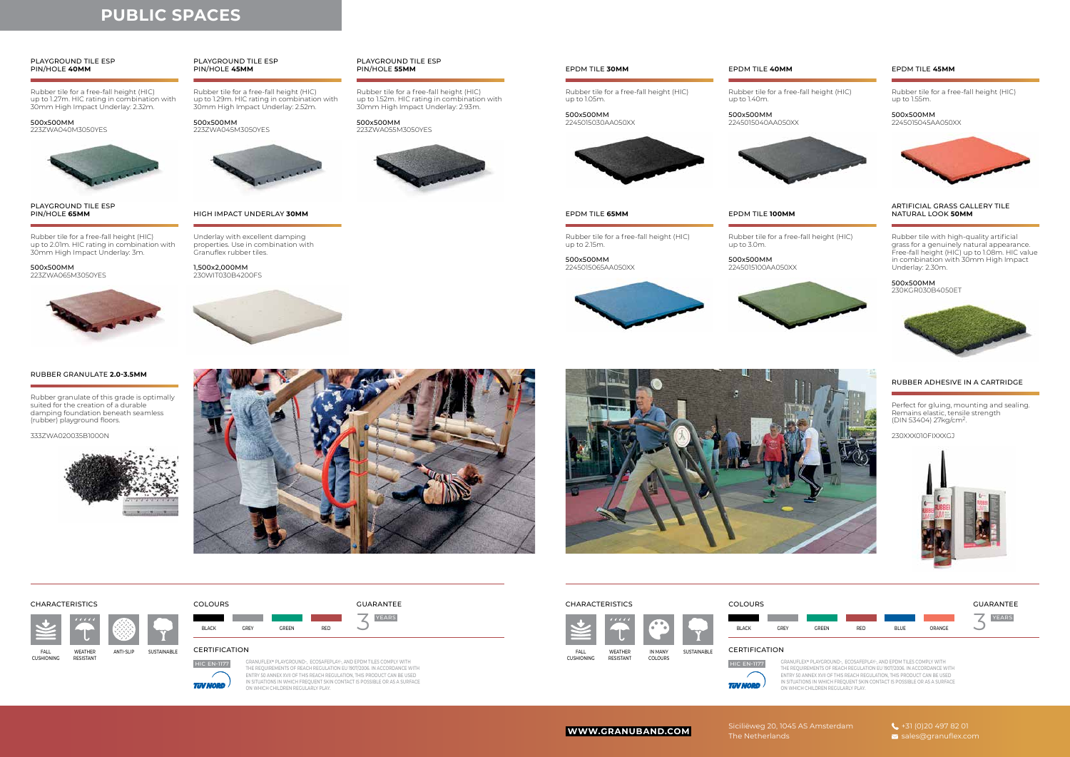The Netherlands

**HIC EN-1177 TUV NORD** 

## **PUBLIC SPACES**

Rubber tile for a free-fall height (HIC) up to 1.27m. HIC rating in combination with 30mm High Impact Underlay: 2.32m.

Rubber tile for a free-fall height (HIC) up to 2.01m. HIC rating in combination with 30mm High Impact Underlay: 3m.

Rubber tile for a free-fall height (HIC) up to 1.29m. HIC rating in combination with 30mm High Impact Underlay: 2.52m.

> GRANUFLEX**®** PLAYGROUND-, ECOSAFEPLAY-, AND EPDM TILES COMPLY WITH THE REQUIREMENTS OF REACH REGULATION EU 1907/2006. IN ACCORDANCE WITH ENTRY 50 ANNEX XVII OF THIS REACH REGULATION, THIS PRODUCT CAN BE USED IN SITUATIONS IN WHICH FREQUENT SKIN CONTACT IS POSSIBLE OR AS A SURFACE ON WHICH CHILDREN REGULARLY PLAY.

Rubber tile for a free-fall height (HIC) up to 1.52m. HIC rating in combination with 30mm High Impact Underlay: 2.93m.

#### 500x500MM 223ZWA040M3050YES



500x500MM 223ZWA065M3050YES



500x500MM 223ZWA045M3050YES



500x500MM 223ZWA055M3050YES



#### PLAYGROUND TILE ESP PIN/HOLE **40MM**

PLAYGROUND TILE ESP PIN/HOLE **65MM**



#### PLAYGROUND TILE ESP PIN/HOLE **55MM**

WEATHER ANTI-SLIP **DESISTANT** FALL CUSHIONING SUSTAINABLE



 $\mathbb Z$ 

Rubber tile for a free-fall height (HIC) up to 1.05m.

Rubber tile for a free-fall height (HIC)

Rubber tile for a free-fall height (HIC)

Rubber tile for a free-fall height (HIC) up to 1.40m.

up to 2.15m. 2245015065AA050XX Rubber tile for a free-fall height (HIC) up to 1.55m.

up to 3.0m. 500x500MM 2245015100AA050XX







500x500MM 2245015030AA050XX

500x500MM

500x500MM 2245015040AA050XX



#### 500x500MM

2245015045AA050XX





#### EPDM TILE **65MM** EPDM TILE **100MM**



Perfect for gluing, mounting and sealing. Remains elastic, tensile strength (DIN 53404) 27kg/cm2.

230XXX010FIXXXGJ



### RUBBER ADHESIVE IN A CARTRIDGE

Underlay with excellent damping properties. Use in combination with Granuflex rubber tiles.

1,500x2,000MM 230WIT030B4200FS



#### HIGH IMPACT UNDERLAY **30MM**

Rubber tile with high-quality artificial grass for a genuinely natural appearance. Free-fall height (HIC) up to 1.08m. HIC value in combination with 30mm High Impact Underlay: 2.30m.







#### ARTIFICIAL GRASS GALLERY TILE NATURAL LOOK **50MM**

Rubber granulate of this grade is optimally suited for the creation of a durable damping foundation beneath seamless (rubber) playground floors.

333ZWA020035B1000N



#### RUBBER GRANULATE **2.0-3.5MM**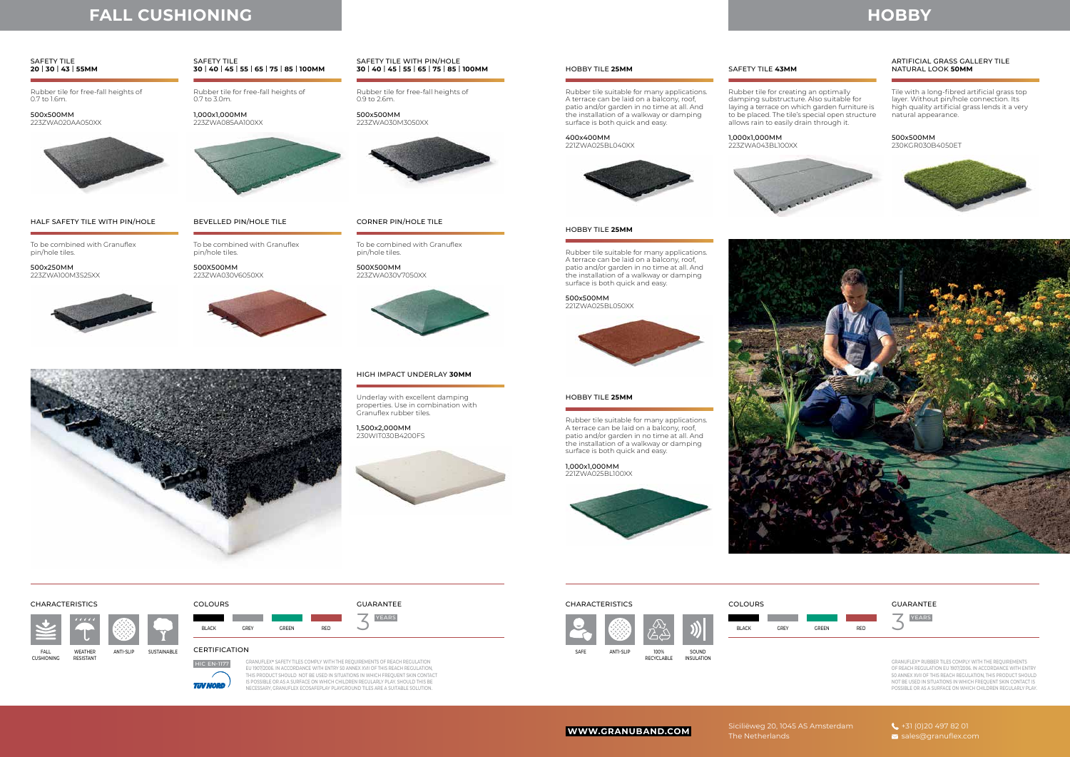## **HOBBY**

Siciliëweg 20, 1045 AS Amsterdam The Netherlands



Rubber tile for free-fall heights of 0.7 to 1.6m.

To be combined with Granuflex pin/hole tiles.

Rubber tile for free-fall heights of 0.7 to 3.0m.

To be combined with Granuflex pin/hole tiles.

Rubber tile for free-fall heights of 0.9 to 2.6m.

To be combined with Granuflex pin/hole tiles.

500x500MM 223ZWA020AA050XX



500x250MM 223ZWA100M3S25XX



1,000x1,000MM 223ZWA085AA100XX



500X500MM 223ZWA030V6050XX



500x500MM 223ZWA030M3050XX



500X500MM 223ZWA030V7050XX



### SAFETY TILE **20** | **30** | **43** | **55MM**

HALF SAFETY TILE WITH PIN/HOLE

#### SAFETY TILE **30** | **40** | **45** | **55** | **65** | **75** | **85** | **100MM**

BEVELLED PIN/HOLE TILE

 $\mathbb Z$ CHARACTERISTICS COLOURS GUARANTEE YEARS

BLACK GREY GREEN RED

### SAFETY TILE WITH PIN/HOLE **30** | **40** | **45** | **55** | **65** | **75** | **85** | **100MM**

### CORNER PIN/HOLE TILE



## **FALL CUSHIONING**

Underlay with excellent damping properties. Use in combination with Granuflex rubber tiles.

1,500x2,000MM 230WIT030B4200FS



### HIGH IMPACT UNDERLAY **30MM**



**DESISTANT** 

CUSHIONING



**TUV NORD** 

Rubber tile for creating an optimally damping substructure. Also suitable for laying a terrace on which garden furniture is to be placed. The tile's special open structure

allows rain to easily drain through it.

Tile with a long-fibred artificial grass top layer. Without pin/hole connection. Its high quality artificial grass lends it a very natural appearance.

400x400MM 221ZWA025BL040XX



1,000x1,000MM 223ZWA043BL100XX



**WWW.GRANUBAND.COM**<br>The Netherlands and sales@granuflex.com

#### 500x500MM

230KGR030B4050ET







500x500MM 221ZWA025BL050XX



1,000x1,000MM 221ZWA025BL100XX





#### HOBBY TILE **25MM** SAFETY TILE **43MM**

### ARTIFICIAL GRASS GALLERY TILE NATURAL LOOK **50MM**

#### HOBBY TILE **25MM**

#### HOBBY TILE **25MM**

GRANUFLEX**®** RUBBER TILES COMPLY WITH THE REQUIREMENTS OF REACH REGULATION EU 1907/2006. IN ACCORDANCE WITH ENTRY 50 ANNEX XVII OF THIS REACH REGULATION, THIS PRODUCT SHOULD NOT BE USED IN SITUATIONS IN WHICH FREQUENT SKIN CONTACT IS POSSIBLE OR AS A SURFACE ON WHICH CHILDREN REGULARLY PLAY.





Rubber tile suitable for many applications. A terrace can be laid on a balcony, roof, patio and/or garden in no time at all. And the installation of a walkway or damping surface is both quick and easy.

Rubber tile suitable for many applications. A terrace can be laid on a balcony, roof, patio and/or garden in no time at all. And the installation of a walkway or damping surface is both quick and easy.

Rubber tile suitable for many applications. A terrace can be laid on a balcony, roof, patio and/or garden in no time at all. And the installation of a walkway or damping surface is both quick and easy.